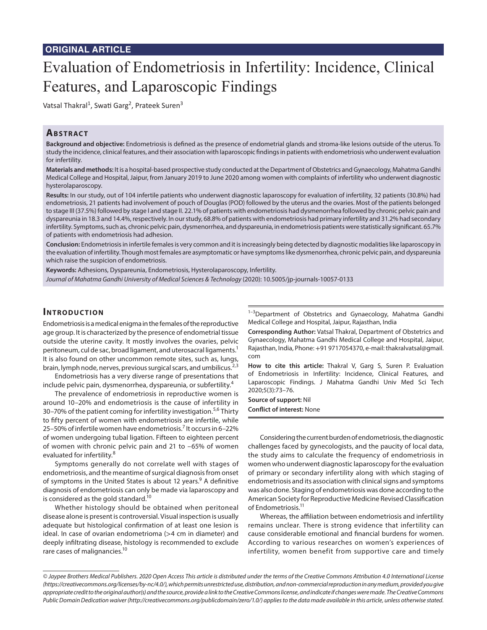# Evaluation of Endometriosis in Infertility: Incidence, Clinical Features, and Laparoscopic Findings

Vatsal Thakral<sup>1</sup>, Swati Garg<sup>2</sup>, Prateek Suren<sup>3</sup>

## **ABSTRACT**

**Background and objective:** Endometriosis is defined as the presence of endometrial glands and stroma-like lesions outside of the uterus. To study the incidence, clinical features, and their association with laparoscopic findings in patients with endometriosis who underwent evaluation for infertility.

**Materials and methods:** It is a hospital-based prospective study conducted at the Department of Obstetrics and Gynaecology, Mahatma Gandhi Medical College and Hospital, Jaipur, from January 2019 to June 2020 among women with complaints of infertility who underwent diagnostic hysterolaparoscopy.

**Results:** In our study, out of 104 infertile patients who underwent diagnostic laparoscopy for evaluation of infertility, 32 patients (30.8%) had endometriosis, 21 patients had involvement of pouch of Douglas (POD) followed by the uterus and the ovaries. Most of the patients belonged to stage III (37.5%) followed by stage I and stage II. 22.1% of patients with endometriosis had dysmenorrhea followed by chronic pelvic pain and dyspareunia in 18.3 and 14.4%, respectively. In our study, 68.8% of patients with endometriosis had primary infertility and 31.2% had secondary infertility. Symptoms, such as, chronic pelvic pain, dysmenorrhea, and dyspareunia, in endometriosis patients were statistically significant. 65.7% of patients with endometriosis had adhesion.

**Conclusion:** Endometriosis in infertile females is very common and it is increasingly being detected by diagnostic modalities like laparoscopy in the evaluation of infertility. Though most females are asymptomatic or have symptoms like dysmenorrhea, chronic pelvic pain, and dyspareunia which raise the suspicion of endometriosis.

**Keywords:** Adhesions, Dyspareunia, Endometriosis, Hysterolaparoscopy, Infertility.

*Journal of Mahatma Gandhi University of Medical Sciences & Technology* (2020): 10.5005/jp-journals-10057-0133

#### **INTRODUCTION**

Endometriosis is a medical enigma in the females of the reproductive age group. It is characterized by the presence of endometrial tissue outside the uterine cavity. It mostly involves the ovaries, pelvic peritoneum, cul de sac, broad ligament, and uterosacral ligaments.<sup>1</sup> It is also found on other uncommon remote sites, such as, lungs, brain, lymph node, nerves, previous surgical scars, and umbilicus. $^{2,3}$ 

Endometriosis has a very diverse range of presentations that include pelvic pain, dysmenorrhea, dyspareunia, or subfertility.<sup>4</sup>

The prevalence of endometriosis in reproductive women is around 10–20% and endometriosis is the cause of infertility in 30–70% of the patient coming for infertility investigation.<sup>5,6</sup> Thirty to fifty percent of women with endometriosis are infertile, while 25-50% of infertile women have endometriosis.<sup>7</sup> It occurs in 6-22% of women undergoing tubal ligation. Fifteen to eighteen percent of women with chronic pelvic pain and 21 to –65% of women evaluated for infertility.<sup>8</sup>

Symptoms generally do not correlate well with stages of endometriosis, and the meantime of surgical diagnosis from onset of symptoms in the United States is about 12 years.<sup>9</sup> A definitive diagnosis of endometriosis can only be made via laparoscopy and is considered as the gold standard.<sup>10</sup>

Whether histology should be obtained when peritoneal disease alone is present is controversial. Visual inspection is usually adequate but histological confirmation of at least one lesion is ideal. In case of ovarian endometrioma (>4 cm in diameter) and deeply infiltrating disease, histology is recommended to exclude rare cases of malignancies.<sup>10</sup>

<sup>1-3</sup>Department of Obstetrics and Gynaecology, Mahatma Gandhi Medical College and Hospital, Jaipur, Rajasthan, India

**Corresponding Author:** Vatsal Thakral, Department of Obstetrics and Gynaecology, Mahatma Gandhi Medical College and Hospital, Jaipur, Rajasthan, India, Phone: +91 9717054370, e-mail: thakralvatsal@gmail. com

**How to cite this article:** Thakral V, Garg S, Suren P. Evaluation of Endometriosis in Infertility: Incidence, Clinical Features, and Laparoscopic Findings. J Mahatma Gandhi Univ Med Sci Tech 2020;5(3):73–76.

**Source of support:** Nil **Conflict of interest:** None

Considering the current burden of endometriosis, the diagnostic challenges faced by gynecologists, and the paucity of local data, the study aims to calculate the frequency of endometriosis in women who underwent diagnostic laparoscopy for the evaluation of primary or secondary infertility along with which staging of endometriosis and its association with clinical signs and symptoms was also done. Staging of endometriosis was done according to the American Society for Reproductive Medicine Revised Classification of Endometriosis.<sup>11</sup>

Whereas, the affiliation between endometriosis and infertility remains unclear. There is strong evidence that infertility can cause considerable emotional and financial burdens for women. According to various researches on women's experiences of infertility, women benefit from supportive care and timely

*<sup>©</sup> Jaypee Brothers Medical Publishers. 2020 Open Access This article is distributed under the terms of the Creative Commons Attribution 4.0 International License (https://creativecommons.org/licenses/by-nc/4.0/), which permits unrestricted use, distribution, and non-commercial reproduction in any medium, provided you give appropriate credit to the original author(s) and the source, provide a link to the Creative Commons license, and indicate if changes were made. The Creative Commons Public Domain Dedication waiver (http://creativecommons.org/publicdomain/zero/1.0/) applies to the data made available in this article, unless otherwise stated.*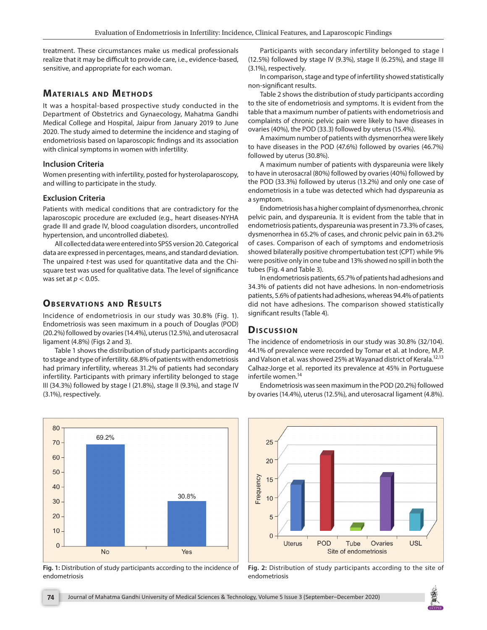treatment. These circumstances make us medical professionals realize that it may be difficult to provide care, i.e., evidence-based, sensitive, and appropriate for each woman.

# **MATERIALS AND METHODS**

It was a hospital-based prospective study conducted in the Department of Obstetrics and Gynaecology, Mahatma Gandhi Medical College and Hospital, Jaipur from January 2019 to June 2020. The study aimed to determine the incidence and staging of endometriosis based on laparoscopic findings and its association with clinical symptoms in women with infertility.

#### **Inclusion Criteria**

Women presenting with infertility, posted for hysterolaparoscopy, and willing to participate in the study.

#### **Exclusion Criteria**

Patients with medical conditions that are contradictory for the laparoscopic procedure are excluded (e.g., heart diseases-NYHA grade III and grade IV, blood coagulation disorders, uncontrolled hypertension, and uncontrolled diabetes).

All collected data were entered into SPSS version 20. Categorical data are expressed in percentages, means, and standard deviation. The unpaired *t*-test was used for quantitative data and the Chisquare test was used for qualitative data. The level of significance was set at *p* < 0.05.

## **OBSERVATIONS AND RESULTS**

Incidence of endometriosis in our study was 30.8% (Fig. 1). Endometriosis was seen maximum in a pouch of Douglas (POD) (20.2%) followed by ovaries (14.4%), uterus (12.5%), and uterosacral ligament (4.8%) (Figs 2 and 3).

Table 1 shows the distribution of study participants according to stage and type of infertility. 68.8% of patients with endometriosis had primary infertility, whereas 31.2% of patients had secondary infertility. Participants with primary infertility belonged to stage III (34.3%) followed by stage I (21.8%), stage II (9.3%), and stage IV (3.1%), respectively.



**Fig. 1:** Distribution of study participants according to the incidence of endometriosis

Participants with secondary infertility belonged to stage I (12.5%) followed by stage IV (9.3%), stage II (6.25%), and stage III (3.1%), respectively.

In comparison, stage and type of infertility showed statistically non-significant results.

Table 2 shows the distribution of study participants according to the site of endometriosis and symptoms. It is evident from the table that a maximum number of patients with endometriosis and complaints of chronic pelvic pain were likely to have diseases in ovaries (40%), the POD (33.3) followed by uterus (15.4%).

A maximum number of patients with dysmenorrhea were likely to have diseases in the POD (47.6%) followed by ovaries (46.7%) followed by uterus (30.8%).

A maximum number of patients with dyspareunia were likely to have in uterosacral (80%) followed by ovaries (40%) followed by the POD (33.3%) followed by uterus (13.2%) and only one case of endometriosis in a tube was detected which had dyspareunia as a symptom.

Endometriosis has a higher complaint of dysmenorrhea, chronic pelvic pain, and dyspareunia. It is evident from the table that in endometriosis patients, dyspareunia was present in 73.3% of cases, dysmenorrhea in 65.2% of cases, and chronic pelvic pain in 63.2% of cases. Comparison of each of symptoms and endometriosis showed bilaterally positive chrompertubation test (CPT) while 9% were positive only in one tube and 13% showed no spill in both the tubes (Fig. 4 and Table 3).

In endometriosis patients, 65.7% of patients had adhesions and 34.3% of patients did not have adhesions. In non-endometriosis patients, 5.6% of patients had adhesions, whereas 94.4% of patients did not have adhesions. The comparison showed statistically significant results (Table 4).

## **Dis c u s sio n**

The incidence of endometriosis in our study was 30.8% (32/104). 44.1% of prevalence were recorded by Tomar et al. at Indore, M.P. and Valson et al. was showed 25% at Wayanad district of Kerala.<sup>12,13</sup> Calhaz-Jorge et al. reported its prevalence at 45% in Portuguese infertile women.<sup>14</sup>

Endometriosis was seen maximum in the POD (20.2%) followed by ovaries (14.4%), uterus (12.5%), and uterosacral ligament (4.8%).



**Fig. 2:** Distribution of study participants according to the site of endometriosis

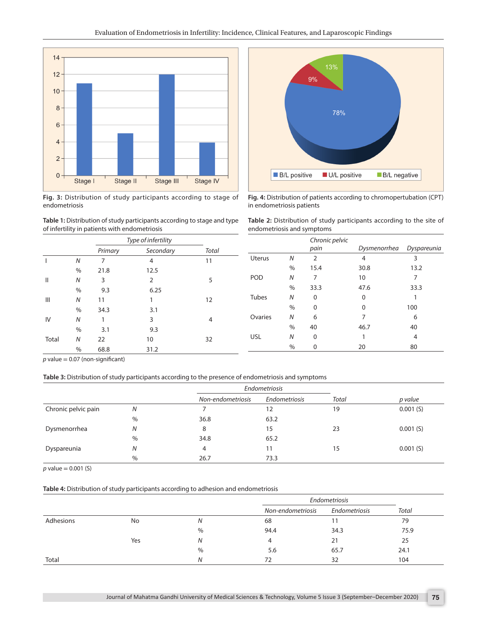

**Fig. 3:** Distribution of study participants according to stage of endometriosis



|              |               | Type of infertility |           |       |  |
|--------------|---------------|---------------------|-----------|-------|--|
|              |               | Primary             | Secondary | Total |  |
|              | N             | 7                   | 4         | 11    |  |
|              | $\%$          | 21.8                | 12.5      |       |  |
| Ш            | N             | 3                   | 2         | 5     |  |
|              | $\%$          | 9.3                 | 6.25      |       |  |
| Ш            | N             | 11                  | 1         | 12    |  |
|              | $\%$          | 34.3                | 3.1       |       |  |
| IV           | N             | 1                   | 3         | 4     |  |
|              | $\frac{0}{0}$ | 3.1                 | 9.3       |       |  |
| <b>Total</b> | N             | 22                  | 10        | 32    |  |
|              | %             | 68.8                | 31.2      |       |  |



**Fig. 4:** Distribution of patients according to chromopertubation (CPT) in endometriosis patients

| <b>Table 2:</b> Distribution of study participants according to the site of |  |  |  |  |  |  |
|-----------------------------------------------------------------------------|--|--|--|--|--|--|
| endometriosis and symptoms                                                  |  |  |  |  |  |  |

|              |      | Chronic pelvic<br>pain | Dysmenorrhea | Dyspareunia |
|--------------|------|------------------------|--------------|-------------|
| Uterus       | N    | 2                      | 4            | 3           |
|              | $\%$ | 15.4                   | 30.8         | 13.2        |
| POD          | N    | 7                      | 10           | 7           |
|              | $\%$ | 33.3                   | 47.6         | 33.3        |
| <b>Tubes</b> | N    | 0                      | $\Omega$     |             |
|              | $\%$ | $\Omega$               | $\Omega$     | 100         |
| Ovaries      | N    | 6                      | 7            | 6           |
|              | $\%$ | 40                     | 46.7         | 40          |
| <b>USL</b>   | N    | 0                      |              | 4           |
|              | %    | 0                      | 20           | 80          |

 $p$  value = 0.07 (non-significant)

**Table 3:** Distribution of study participants according to the presence of endometriosis and symptoms

|                     |      |                   | Endometriosis |       |          |
|---------------------|------|-------------------|---------------|-------|----------|
|                     |      | Non-endometriosis | Endometriosis | Total | p value  |
| Chronic pelvic pain | N    |                   | 12            | 19    | 0.001(S) |
|                     | $\%$ | 36.8              | 63.2          |       |          |
| Dysmenorrhea        | N    | 8                 | 15            | 23    | 0.001(S) |
|                     | $\%$ | 34.8              | 65.2          |       |          |
| Dyspareunia         | N    | 4                 | 11            | 15    | 0.001(S) |
|                     | $\%$ | 26.7              | 73.3          |       |          |

*p* value = 0.001 (S)

#### **Table 4:** Distribution of study participants according to adhesion and endometriosis

|           |     |      |                   | Endometriosis |       |
|-----------|-----|------|-------------------|---------------|-------|
|           |     |      | Non-endometriosis | Endometriosis | Total |
| Adhesions | No  | N    | 68                |               | 79    |
|           |     | $\%$ | 94.4              | 34.3          | 75.9  |
|           | Yes | N    | 4                 | 21            | 25    |
|           |     | $\%$ | 5.6               | 65.7          | 24.1  |
| Total     |     | N    | 72                | 32            | 104   |